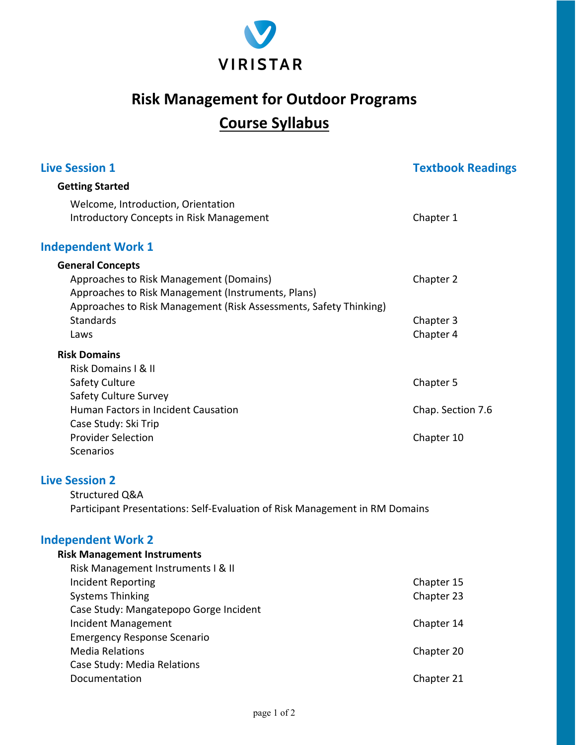

# **Risk Management for Outdoor Programs Course Syllabus**

| <b>Getting Started</b><br>Welcome, Introduction, Orientation<br><b>Introductory Concepts in Risk Management</b>                                                                                                                                                                                                                         | Chapter 1                                                          |
|-----------------------------------------------------------------------------------------------------------------------------------------------------------------------------------------------------------------------------------------------------------------------------------------------------------------------------------------|--------------------------------------------------------------------|
|                                                                                                                                                                                                                                                                                                                                         |                                                                    |
|                                                                                                                                                                                                                                                                                                                                         |                                                                    |
| <b>Independent Work 1</b>                                                                                                                                                                                                                                                                                                               |                                                                    |
| <b>General Concepts</b><br>Approaches to Risk Management (Domains)<br>Approaches to Risk Management (Instruments, Plans)<br>Approaches to Risk Management (Risk Assessments, Safety Thinking)<br><b>Standards</b><br>Laws                                                                                                               | Chapter 2<br>Chapter 3<br>Chapter 4                                |
| <b>Risk Domains</b><br><b>Risk Domains I &amp; II</b><br><b>Safety Culture</b>                                                                                                                                                                                                                                                          | Chapter 5                                                          |
| <b>Safety Culture Survey</b><br>Human Factors in Incident Causation<br>Case Study: Ski Trip<br><b>Provider Selection</b><br>Scenarios                                                                                                                                                                                                   | Chap. Section 7.6<br>Chapter 10                                    |
| <b>Live Session 2</b><br>Structured Q&A<br>Participant Presentations: Self-Evaluation of Risk Management in RM Domains                                                                                                                                                                                                                  |                                                                    |
| <b>Independent Work 2</b><br><b>Risk Management Instruments</b><br>Risk Management Instruments I & II<br>Incident Reporting<br><b>Systems Thinking</b><br>Case Study: Mangatepopo Gorge Incident<br>Incident Management<br><b>Emergency Response Scenario</b><br><b>Media Relations</b><br>Case Study: Media Relations<br>Documentation | Chapter 15<br>Chapter 23<br>Chapter 14<br>Chapter 20<br>Chapter 21 |